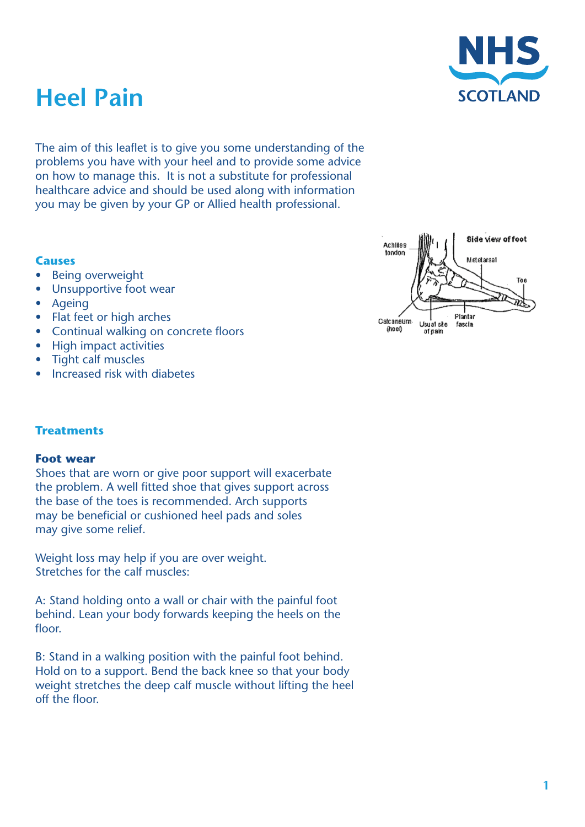

# **Heel Pain**

The aim of this leaflet is to give you some understanding of the problems you have with your heel and to provide some advice on how to manage this. It is not a substitute for professional healthcare advice and should be used along with information you may be given by your GP or Allied health professional.

## **Causes**

- **Being overweight**
- Unsupportive foot wear
- **Ageing**
- **Flat feet or high arches**
- • Continual walking on concrete floors
- **High impact activities**
- • Tight calf muscles
- Increased risk with diabetes



## **Treatments**

## **Foot wear**

Shoes that are worn or give poor support will exacerbate the problem. A well fitted shoe that gives support across the base of the toes is recommended. Arch supports may be beneficial or cushioned heel pads and soles may give some relief.

Weight loss may help if you are over weight. Stretches for the calf muscles:

A: Stand holding onto a wall or chair with the painful foot behind. Lean your body forwards keeping the heels on the floor.

B: Stand in a walking position with the painful foot behind. Hold on to a support. Bend the back knee so that your body weight stretches the deep calf muscle without lifting the heel off the floor.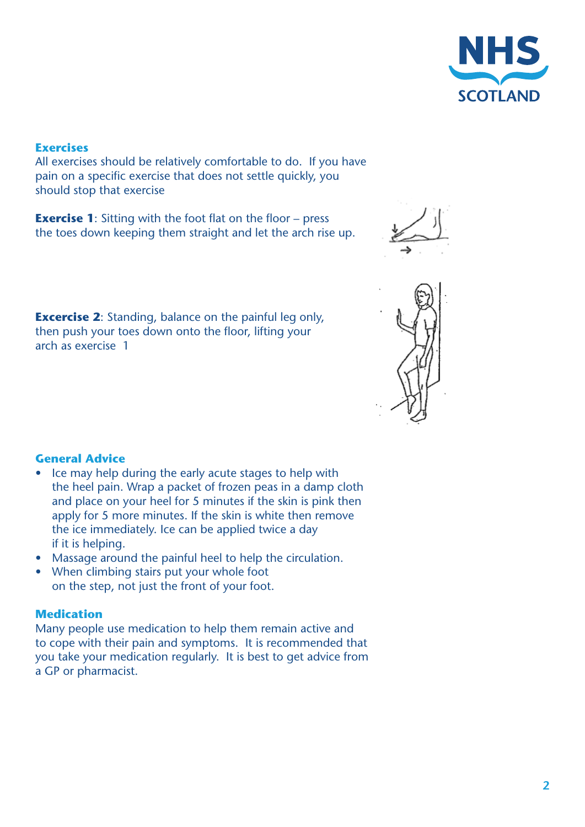

# **Exercises**

All exercises should be relatively comfortable to do. If you have pain on a specific exercise that does not settle quickly, you should stop that exercise

**Exercise 1:** Sitting with the foot flat on the floor – press the toes down keeping them straight and let the arch rise up.



**Excercise 2:** Standing, balance on the painful leg only, then push your toes down onto the floor, lifting your arch as exercise 1



- Ice may help during the early acute stages to help with the heel pain. Wrap a packet of frozen peas in a damp cloth and place on your heel for 5 minutes if the skin is pink then apply for 5 more minutes. If the skin is white then remove the ice immediately. Ice can be applied twice a day if it is helping.
- Massage around the painful heel to help the circulation.
- When climbing stairs put your whole foot on the step, not just the front of your foot.

#### **Medication**

Many people use medication to help them remain active and to cope with their pain and symptoms. It is recommended that you take your medication regularly. It is best to get advice from a GP or pharmacist.